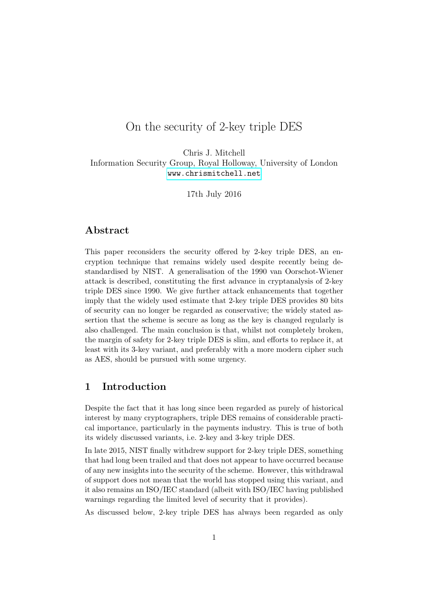# On the security of 2-key triple DES

Chris J. Mitchell Information Security Group, Royal Holloway, University of London <www.chrismitchell.net>

17th July 2016

### Abstract

This paper reconsiders the security offered by 2-key triple DES, an encryption technique that remains widely used despite recently being destandardised by NIST. A generalisation of the 1990 van Oorschot-Wiener attack is described, constituting the first advance in cryptanalysis of 2-key triple DES since 1990. We give further attack enhancements that together imply that the widely used estimate that 2-key triple DES provides 80 bits of security can no longer be regarded as conservative; the widely stated assertion that the scheme is secure as long as the key is changed regularly is also challenged. The main conclusion is that, whilst not completely broken, the margin of safety for 2-key triple DES is slim, and efforts to replace it, at least with its 3-key variant, and preferably with a more modern cipher such as AES, should be pursued with some urgency.

### 1 Introduction

Despite the fact that it has long since been regarded as purely of historical interest by many cryptographers, triple DES remains of considerable practical importance, particularly in the payments industry. This is true of both its widely discussed variants, i.e. 2-key and 3-key triple DES.

In late 2015, NIST finally withdrew support for 2-key triple DES, something that had long been trailed and that does not appear to have occurred because of any new insights into the security of the scheme. However, this withdrawal of support does not mean that the world has stopped using this variant, and it also remains an ISO/IEC standard (albeit with ISO/IEC having published warnings regarding the limited level of security that it provides).

As discussed below, 2-key triple DES has always been regarded as only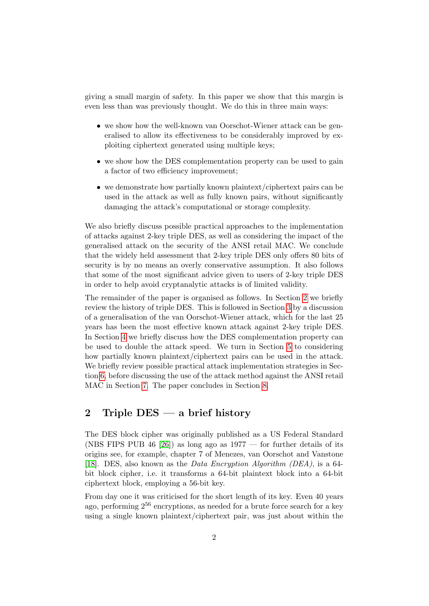giving a small margin of safety. In this paper we show that this margin is even less than was previously thought. We do this in three main ways:

- we show how the well-known van Oorschot-Wiener attack can be generalised to allow its effectiveness to be considerably improved by exploiting ciphertext generated using multiple keys;
- we show how the DES complementation property can be used to gain a factor of two efficiency improvement;
- we demonstrate how partially known plaintext/ciphertext pairs can be used in the attack as well as fully known pairs, without significantly damaging the attack's computational or storage complexity.

We also briefly discuss possible practical approaches to the implementation of attacks against 2-key triple DES, as well as considering the impact of the generalised attack on the security of the ANSI retail MAC. We conclude that the widely held assessment that 2-key triple DES only offers 80 bits of security is by no means an overly conservative assumption. It also follows that some of the most significant advice given to users of 2-key triple DES in order to help avoid cryptanalytic attacks is of limited validity.

The remainder of the paper is organised as follows. In Section [2](#page-1-0) we briefly review the history of triple DES. This is followed in Section [3](#page-4-0) by a discussion of a generalisation of the van Oorschot-Wiener attack, which for the last 25 years has been the most effective known attack against 2-key triple DES. In Section [4](#page-8-0) we briefly discuss how the DES complementation property can be used to double the attack speed. We turn in Section [5](#page-8-1) to considering how partially known plaintext/ciphertext pairs can be used in the attack. We briefly review possible practical attack implementation strategies in Section [6,](#page-11-0) before discussing the use of the attack method against the ANSI retail MAC in Section [7.](#page-12-0) The paper concludes in Section [8.](#page-15-0)

## <span id="page-1-0"></span>2 Triple DES — a brief history

The DES block cipher was originally published as a US Federal Standard (NBS FIPS PUB 46 [\[26\]](#page-18-0)) as long ago as  $1977$  — for further details of its origins see, for example, chapter 7 of Menezes, van Oorschot and Vanstone [\[18\]](#page-17-0). DES, also known as the Data Encryption Algorithm (DEA), is a 64 bit block cipher, i.e. it transforms a 64-bit plaintext block into a 64-bit ciphertext block, employing a 56-bit key.

From day one it was criticised for the short length of its key. Even 40 years ago, performing  $2^{56}$  encryptions, as needed for a brute force search for a key using a single known plaintext/ciphertext pair, was just about within the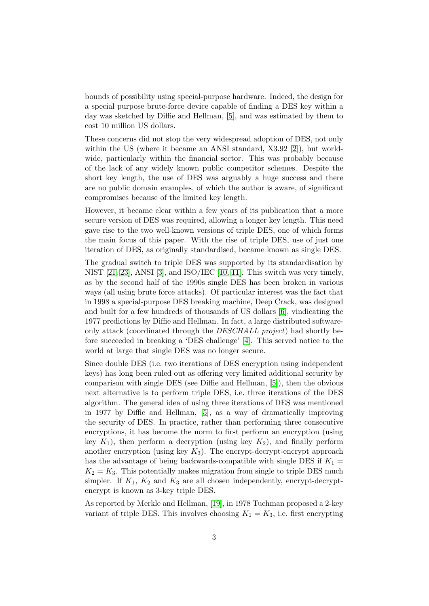bounds of possibility using special-purpose hardware. Indeed, the design for a special purpose brute-force device capable of finding a DES key within a day was sketched by Diffie and Hellman, [\[5\]](#page-16-0), and was estimated by them to cost 10 million US dollars.

These concerns did not stop the very widespread adoption of DES, not only within the US (where it became an ANSI standard, X3.92 [\[2\]](#page-16-1)), but worldwide, particularly within the financial sector. This was probably because of the lack of any widely known public competitor schemes. Despite the short key length, the use of DES was arguably a huge success and there are no public domain examples, of which the author is aware, of significant compromises because of the limited key length.

However, it became clear within a few years of its publication that a more secure version of DES was required, allowing a longer key length. This need gave rise to the two well-known versions of triple DES, one of which forms the main focus of this paper. With the rise of triple DES, use of just one iteration of DES, as originally standardised, became known as single DES.

The gradual switch to triple DES was supported by its standardisation by NIST [\[21,](#page-17-1) [23\]](#page-17-2), ANSI [\[3\]](#page-16-2), and ISO/IEC [\[10,](#page-16-3) [11\]](#page-16-4). This switch was very timely, as by the second half of the 1990s single DES has been broken in various ways (all using brute force attacks). Of particular interest was the fact that in 1998 a special-purpose DES breaking machine, Deep Crack, was designed and built for a few hundreds of thousands of US dollars [\[6\]](#page-16-5), vindicating the 1977 predictions by Diffie and Hellman. In fact, a large distributed softwareonly attack (coordinated through the DESCHALL project) had shortly before succeeded in breaking a 'DES challenge' [\[4\]](#page-16-6). This served notice to the world at large that single DES was no longer secure.

Since double DES (i.e. two iterations of DES encryption using independent keys) has long been ruled out as offering very limited additional security by comparison with single DES (see Diffie and Hellman, [\[5\]](#page-16-0)), then the obvious next alternative is to perform triple DES, i.e. three iterations of the DES algorithm. The general idea of using three iterations of DES was mentioned in 1977 by Diffie and Hellman, [\[5\]](#page-16-0), as a way of dramatically improving the security of DES. In practice, rather than performing three consecutive encryptions, it has become the norm to first perform an encryption (using key  $K_1$ ), then perform a decryption (using key  $K_2$ ), and finally perform another encryption (using key  $K_3$ ). The encrypt-decrypt-encrypt approach has the advantage of being backwards-compatible with single DES if  $K_1 =$  $K_2 = K_3$ . This potentially makes migration from single to triple DES much simpler. If  $K_1$ ,  $K_2$  and  $K_3$  are all chosen independently, encrypt-decryptencrypt is known as 3-key triple DES.

As reported by Merkle and Hellman, [\[19\]](#page-17-3), in 1978 Tuchman proposed a 2-key variant of triple DES. This involves choosing  $K_1 = K_3$ , i.e. first encrypting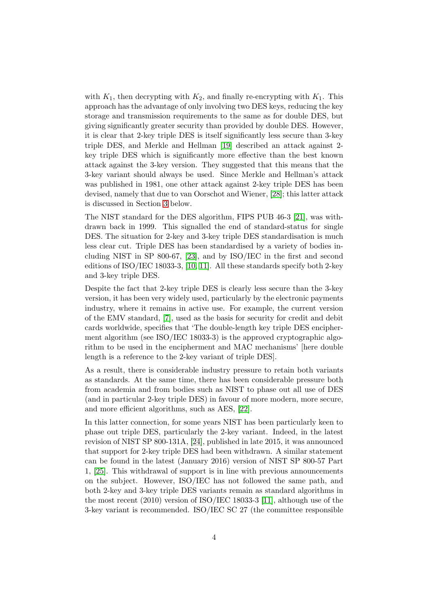with  $K_1$ , then decrypting with  $K_2$ , and finally re-encrypting with  $K_1$ . This approach has the advantage of only involving two DES keys, reducing the key storage and transmission requirements to the same as for double DES, but giving significantly greater security than provided by double DES. However, it is clear that 2-key triple DES is itself significantly less secure than 3-key triple DES, and Merkle and Hellman [\[19\]](#page-17-3) described an attack against 2 key triple DES which is significantly more effective than the best known attack against the 3-key version. They suggested that this means that the 3-key variant should always be used. Since Merkle and Hellman's attack was published in 1981, one other attack against 2-key triple DES has been devised, namely that due to van Oorschot and Wiener, [\[28\]](#page-18-1); this latter attack is discussed in Section [3](#page-4-0) below.

The NIST standard for the DES algorithm, FIPS PUB 46-3 [\[21\]](#page-17-1), was withdrawn back in 1999. This signalled the end of standard-status for single DES. The situation for 2-key and 3-key triple DES standardisation is much less clear cut. Triple DES has been standardised by a variety of bodies including NIST in SP 800-67, [\[23\]](#page-17-2), and by ISO/IEC in the first and second editions of ISO/IEC 18033-3, [\[10,](#page-16-3) [11\]](#page-16-4). All these standards specify both 2-key and 3-key triple DES.

Despite the fact that 2-key triple DES is clearly less secure than the 3-key version, it has been very widely used, particularly by the electronic payments industry, where it remains in active use. For example, the current version of the EMV standard, [\[7\]](#page-16-7), used as the basis for security for credit and debit cards worldwide, specifies that 'The double-length key triple DES encipherment algorithm (see ISO/IEC 18033-3) is the approved cryptographic algorithm to be used in the encipherment and MAC mechanisms' [here double length is a reference to the 2-key variant of triple DES].

As a result, there is considerable industry pressure to retain both variants as standards. At the same time, there has been considerable pressure both from academia and from bodies such as NIST to phase out all use of DES (and in particular 2-key triple DES) in favour of more modern, more secure, and more efficient algorithms, such as AES, [\[22\]](#page-17-4).

In this latter connection, for some years NIST has been particularly keen to phase out triple DES, particularly the 2-key variant. Indeed, in the latest revision of NIST SP 800-131A, [\[24\]](#page-17-5), published in late 2015, it was announced that support for 2-key triple DES had been withdrawn. A similar statement can be found in the latest (January 2016) version of NIST SP 800-57 Part 1, [\[25\]](#page-17-6). This withdrawal of support is in line with previous announcements on the subject. However, ISO/IEC has not followed the same path, and both 2-key and 3-key triple DES variants remain as standard algorithms in the most recent (2010) version of ISO/IEC 18033-3 [\[11\]](#page-16-4), although use of the 3-key variant is recommended. ISO/IEC SC 27 (the committee responsible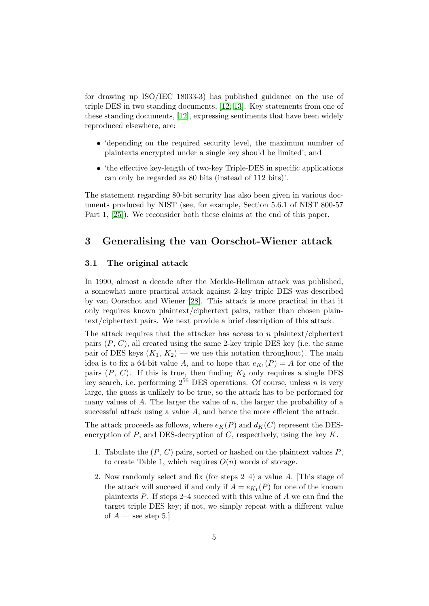for drawing up ISO/IEC 18033-3) has published guidance on the use of triple DES in two standing documents, [\[12,](#page-16-8) [13\]](#page-17-7). Key statements from one of these standing documents, [\[12\]](#page-16-8), expressing sentiments that have been widely reproduced elsewhere, are:

- 'depending on the required security level, the maximum number of plaintexts encrypted under a single key should be limited'; and
- the effective key-length of two-key Triple-DES in specific applications can only be regarded as 80 bits (instead of 112 bits)'.

The statement regarding 80-bit security has also been given in various documents produced by NIST (see, for example, Section 5.6.1 of NIST 800-57 Part 1, [\[25\]](#page-17-6)). We reconsider both these claims at the end of this paper.

## <span id="page-4-0"></span>3 Generalising the van Oorschot-Wiener attack

#### 3.1 The original attack

In 1990, almost a decade after the Merkle-Hellman attack was published, a somewhat more practical attack against 2-key triple DES was described by van Oorschot and Wiener [\[28\]](#page-18-1). This attack is more practical in that it only requires known plaintext/ciphertext pairs, rather than chosen plaintext/ciphertext pairs. We next provide a brief description of this attack.

The attack requires that the attacker has access to  $n$  plaintext/ciphertext pairs  $(P, C)$ , all created using the same 2-key triple DES key (i.e. the same pair of DES keys  $(K_1, K_2)$  — we use this notation throughout). The main idea is to fix a 64-bit value A, and to hope that  $e_{K_1}(P) = A$  for one of the pairs  $(P, C)$ . If this is true, then finding  $K_2$  only requires a single DES key search, i.e. performing  $2^{56}$  DES operations. Of course, unless n is very large, the guess is unlikely to be true, so the attack has to be performed for many values of  $A$ . The larger the value of  $n$ , the larger the probability of a successful attack using a value A, and hence the more efficient the attack.

The attack proceeds as follows, where  $e_K(P)$  and  $d_K(C)$  represent the DESencryption of  $P$ , and DES-decryption of  $C$ , respectively, using the key  $K$ .

- 1. Tabulate the  $(P, C)$  pairs, sorted or hashed on the plaintext values  $P$ , to create Table 1, which requires  $O(n)$  words of storage.
- 2. Now randomly select and fix (for steps 2–4) a value A. [This stage of the attack will succeed if and only if  $A = e_{K_1}(P)$  for one of the known plaintexts P. If steps 2–4 succeed with this value of A we can find the target triple DES key; if not, we simply repeat with a different value of  $A$  — see step 5.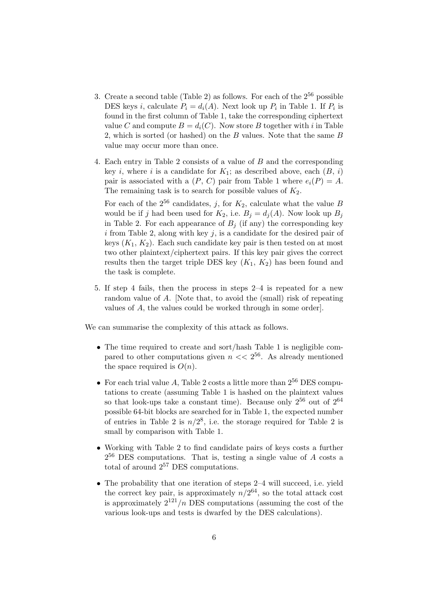- 3. Create a second table (Table 2) as follows. For each of the  $2^{56}$  possible DES keys *i*, calculate  $P_i = d_i(A)$ . Next look up  $P_i$  in Table 1. If  $P_i$  is found in the first column of Table 1, take the corresponding ciphertext value C and compute  $B = d_i(C)$ . Now store B together with i in Table 2, which is sorted (or hashed) on the B values. Note that the same B value may occur more than once.
- 4. Each entry in Table 2 consists of a value of B and the corresponding key i, where i is a candidate for  $K_1$ ; as described above, each  $(B, i)$ pair is associated with a  $(P, C)$  pair from Table 1 where  $e_i(P) = A$ . The remaining task is to search for possible values of  $K_2$ .

For each of the  $2^{56}$  candidates, j, for  $K_2$ , calculate what the value B would be if j had been used for  $K_2$ , i.e.  $B_j = d_j(A)$ . Now look up  $B_j$ in Table 2. For each appearance of  $B_i$  (if any) the corresponding key i from Table 2, along with key  $j$ , is a candidate for the desired pair of keys  $(K_1, K_2)$ . Each such candidate key pair is then tested on at most two other plaintext/ciphertext pairs. If this key pair gives the correct results then the target triple DES key  $(K_1, K_2)$  has been found and the task is complete.

5. If step 4 fails, then the process in steps 2–4 is repeated for a new random value of A. [Note that, to avoid the (small) risk of repeating values of A, the values could be worked through in some order].

We can summarise the complexity of this attack as follows.

- The time required to create and sort/hash Table 1 is negligible compared to other computations given  $n \ll 2^{56}$ . As already mentioned the space required is  $O(n)$ .
- For each trial value A, Table 2 costs a little more than  $2^{56}$  DES computations to create (assuming Table 1 is hashed on the plaintext values so that look-ups take a constant time). Because only  $2^{56}$  out of  $2^{64}$ possible 64-bit blocks are searched for in Table 1, the expected number of entries in Table 2 is  $n/2^8$ , i.e. the storage required for Table 2 is small by comparison with Table 1.
- Working with Table 2 to find candidate pairs of keys costs a further  $2^{56}$  DES computations. That is, testing a single value of  $A$  costs a total of around  $2^{57}$  DES computations.
- The probability that one iteration of steps 2–4 will succeed, i.e. yield the correct key pair, is approximately  $n/2^{64}$ , so the total attack cost is approximately  $2^{121}/n$  DES computations (assuming the cost of the various look-ups and tests is dwarfed by the DES calculations).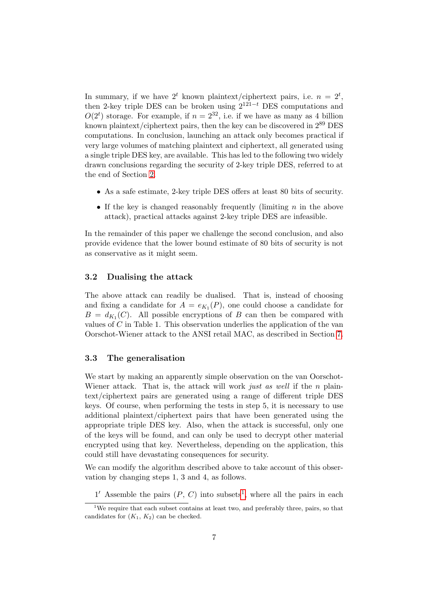In summary, if we have  $2^t$  known plaintext/ciphertext pairs, i.e.  $n = 2^t$ , then 2-key triple DES can be broken using  $2^{121-t}$  DES computations and  $O(2<sup>t</sup>)$  storage. For example, if  $n = 2<sup>32</sup>$ , i.e. if we have as many as 4 billion known plaintext/ciphertext pairs, then the key can be discovered in  $2^{89}$  DES computations. In conclusion, launching an attack only becomes practical if very large volumes of matching plaintext and ciphertext, all generated using a single triple DES key, are available. This has led to the following two widely drawn conclusions regarding the security of 2-key triple DES, referred to at the end of Section [2.](#page-1-0)

- As a safe estimate, 2-key triple DES offers at least 80 bits of security.
- If the key is changed reasonably frequently (limiting  $n$  in the above attack), practical attacks against 2-key triple DES are infeasible.

In the remainder of this paper we challenge the second conclusion, and also provide evidence that the lower bound estimate of 80 bits of security is not as conservative as it might seem.

#### 3.2 Dualising the attack

The above attack can readily be dualised. That is, instead of choosing and fixing a candidate for  $A = e_{K_1}(P)$ , one could choose a candidate for  $B = d_{K_1}(C)$ . All possible encryptions of B can then be compared with values of C in Table 1. This observation underlies the application of the van Oorschot-Wiener attack to the ANSI retail MAC, as described in Section [7.](#page-12-0)

### <span id="page-6-1"></span>3.3 The generalisation

We start by making an apparently simple observation on the van Oorschot-Wiener attack. That is, the attack will work just as well if the  $n$  plaintext/ciphertext pairs are generated using a range of different triple DES keys. Of course, when performing the tests in step 5, it is necessary to use additional plaintext/ciphertext pairs that have been generated using the appropriate triple DES key. Also, when the attack is successful, only one of the keys will be found, and can only be used to decrypt other material encrypted using that key. Nevertheless, depending on the application, this could still have devastating consequences for security.

We can modify the algorithm described above to take account of this observation by changing steps 1, 3 and 4, as follows.

[1](#page-6-0)' Assemble the pairs  $(P, C)$  into subsets<sup>1</sup>, where all the pairs in each

<span id="page-6-0"></span><sup>&</sup>lt;sup>1</sup>We require that each subset contains at least two, and preferably three, pairs, so that candidates for  $(K_1, K_2)$  can be checked.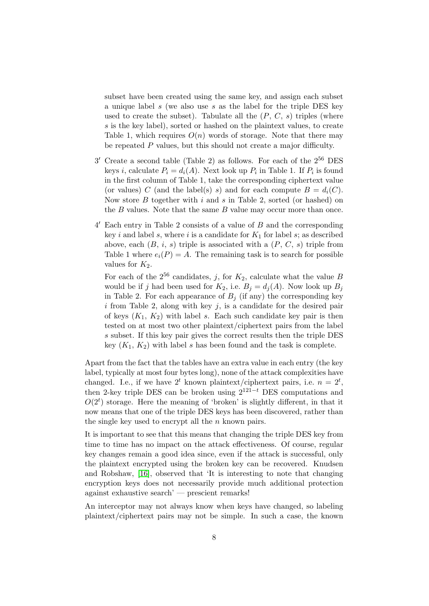subset have been created using the same key, and assign each subset a unique label s (we also use s as the label for the triple DES key used to create the subset). Tabulate all the  $(P, C, s)$  triples (where s is the key label), sorted or hashed on the plaintext values, to create Table 1, which requires  $O(n)$  words of storage. Note that there may be repeated P values, but this should not create a major difficulty.

- $3'$  Create a second table (Table 2) as follows. For each of the  $2^{56}$  DES keys *i*, calculate  $P_i = d_i(A)$ . Next look up  $P_i$  in Table 1. If  $P_i$  is found in the first column of Table 1, take the corresponding ciphertext value (or values) C (and the label(s) s) and for each compute  $B = d_i(C)$ . Now store  $B$  together with  $i$  and  $s$  in Table 2, sorted (or hashed) on the B values. Note that the same B value may occur more than once.
- 4 <sup>0</sup> Each entry in Table 2 consists of a value of B and the corresponding key i and label s, where i is a candidate for  $K_1$  for label s; as described above, each  $(B, i, s)$  triple is associated with a  $(P, C, s)$  triple from Table 1 where  $e_i(P) = A$ . The remaining task is to search for possible values for  $K_2$ .

For each of the  $2^{56}$  candidates, j, for  $K_2$ , calculate what the value B would be if j had been used for  $K_2$ , i.e.  $B_i = d_i(A)$ . Now look up  $B_i$ in Table 2. For each appearance of  $B_i$  (if any) the corresponding key  $i$  from Table 2, along with key  $j$ , is a candidate for the desired pair of keys  $(K_1, K_2)$  with label s. Each such candidate key pair is then tested on at most two other plaintext/ciphertext pairs from the label s subset. If this key pair gives the correct results then the triple DES key  $(K_1, K_2)$  with label s has been found and the task is complete.

Apart from the fact that the tables have an extra value in each entry (the key label, typically at most four bytes long), none of the attack complexities have changed. I.e., if we have  $2^t$  known plaintext/ciphertext pairs, i.e.  $n = 2^t$ , then 2-key triple DES can be broken using  $2^{121-t}$  DES computations and  $O(2<sup>t</sup>)$  storage. Here the meaning of 'broken' is slightly different, in that it now means that one of the triple DES keys has been discovered, rather than the single key used to encrypt all the  $n$  known pairs.

It is important to see that this means that changing the triple DES key from time to time has no impact on the attack effectiveness. Of course, regular key changes remain a good idea since, even if the attack is successful, only the plaintext encrypted using the broken key can be recovered. Knudsen and Robshaw, [\[16\]](#page-17-8), observed that 'It is interesting to note that changing encryption keys does not necessarily provide much additional protection against exhaustive search' — prescient remarks!

An interceptor may not always know when keys have changed, so labeling plaintext/ciphertext pairs may not be simple. In such a case, the known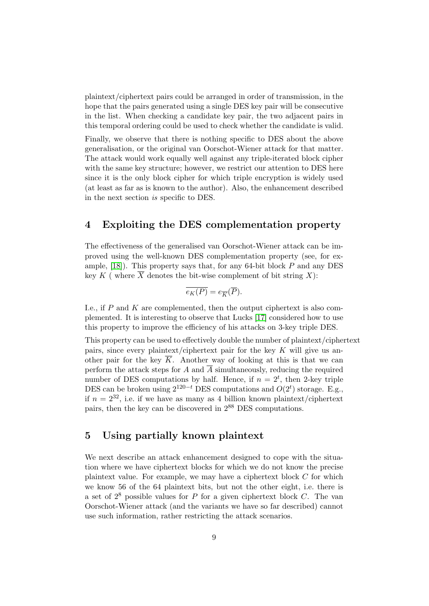plaintext/ciphertext pairs could be arranged in order of transmission, in the hope that the pairs generated using a single DES key pair will be consecutive in the list. When checking a candidate key pair, the two adjacent pairs in this temporal ordering could be used to check whether the candidate is valid.

Finally, we observe that there is nothing specific to DES about the above generalisation, or the original van Oorschot-Wiener attack for that matter. The attack would work equally well against any triple-iterated block cipher with the same key structure; however, we restrict our attention to DES here since it is the only block cipher for which triple encryption is widely used (at least as far as is known to the author). Also, the enhancement described in the next section is specific to DES.

## <span id="page-8-0"></span>4 Exploiting the DES complementation property

The effectiveness of the generalised van Oorschot-Wiener attack can be improved using the well-known DES complementation property (see, for example,  $[18]$ ). This property says that, for any 64-bit block P and any DES key K ( where  $\overline{X}$  denotes the bit-wise complement of bit string X):

$$
\overline{e_K(P)} = e_{\overline{K}}(\overline{P}).
$$

I.e., if  $P$  and  $K$  are complemented, then the output ciphertext is also complemented. It is interesting to observe that Lucks [\[17\]](#page-17-9) considered how to use this property to improve the efficiency of his attacks on 3-key triple DES.

This property can be used to effectively double the number of plaintext/ciphertext pairs, since every plaintext/ciphertext pair for the key  $K$  will give us another pair for the key  $\overline{K}$ . Another way of looking at this is that we can perform the attack steps for A and  $\overline{A}$  simultaneously, reducing the required number of DES computations by half. Hence, if  $n = 2^t$ , then 2-key triple DES can be broken using  $2^{120-t}$  DES computations and  $O(2^t)$  storage. E.g., if  $n = 2^{32}$ , i.e. if we have as many as 4 billion known plaintext/ciphertext pairs, then the key can be discovered in 2<sup>88</sup> DES computations.

### <span id="page-8-1"></span>5 Using partially known plaintext

We next describe an attack enhancement designed to cope with the situation where we have ciphertext blocks for which we do not know the precise plaintext value. For example, we may have a ciphertext block C for which we know 56 of the 64 plaintext bits, but not the other eight, i.e. there is a set of  $2^8$  possible values for P for a given ciphertext block C. The van Oorschot-Wiener attack (and the variants we have so far described) cannot use such information, rather restricting the attack scenarios.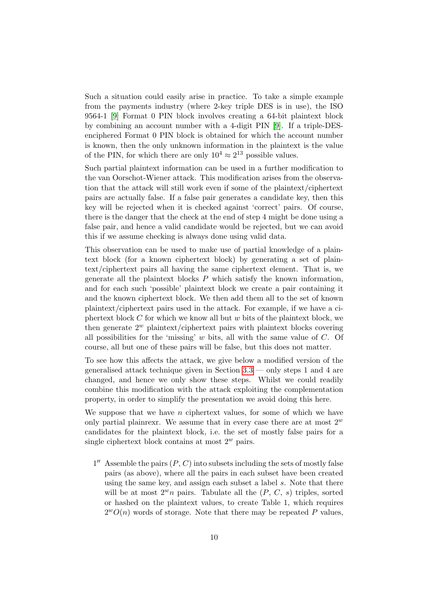Such a situation could easily arise in practice. To take a simple example from the payments industry (where 2-key triple DES is in use), the ISO 9564-1 [\[9\]](#page-16-9) Format 0 PIN block involves creating a 64-bit plaintext block by combining an account number with a 4-digit PIN [\[9\]](#page-16-9). If a triple-DESenciphered Format 0 PIN block is obtained for which the account number is known, then the only unknown information in the plaintext is the value of the PIN, for which there are only  $10^4 \approx 2^{13}$  possible values.

Such partial plaintext information can be used in a further modification to the van Oorschot-Wiener attack. This modification arises from the observation that the attack will still work even if some of the plaintext/ciphertext pairs are actually false. If a false pair generates a candidate key, then this key will be rejected when it is checked against 'correct' pairs. Of course, there is the danger that the check at the end of step 4 might be done using a false pair, and hence a valid candidate would be rejected, but we can avoid this if we assume checking is always done using valid data.

This observation can be used to make use of partial knowledge of a plaintext block (for a known ciphertext block) by generating a set of plaintext/ciphertext pairs all having the same ciphertext element. That is, we generate all the plaintext blocks P which satisfy the known information, and for each such 'possible' plaintext block we create a pair containing it and the known ciphertext block. We then add them all to the set of known plaintext/ciphertext pairs used in the attack. For example, if we have a ciphertext block  $C$  for which we know all but  $w$  bits of the plaintext block, we then generate  $2^w$  plaintext/ciphertext pairs with plaintext blocks covering all possibilities for the 'missing'  $w$  bits, all with the same value of  $C$ . Of course, all but one of these pairs will be false, but this does not matter.

To see how this affects the attack, we give below a modified version of the generalised attack technique given in Section [3.3](#page-6-1) — only steps 1 and 4 are changed, and hence we only show these steps. Whilst we could readily combine this modification with the attack exploiting the complementation property, in order to simplify the presentation we avoid doing this here.

We suppose that we have  $n$  ciphertext values, for some of which we have only partial plainrexr. We assume that in every case there are at most  $2^w$ candidates for the plaintext block, i.e. the set of mostly false pairs for a single ciphertext block contains at most  $2^w$  pairs.

 $1''$  Assemble the pairs  $(P, C)$  into subsets including the sets of mostly false pairs (as above), where all the pairs in each subset have been created using the same key, and assign each subset a label s. Note that there will be at most  $2^wn$  pairs. Tabulate all the  $(P, C, s)$  triples, sorted or hashed on the plaintext values, to create Table 1, which requires  $2^wO(n)$  words of storage. Note that there may be repeated P values,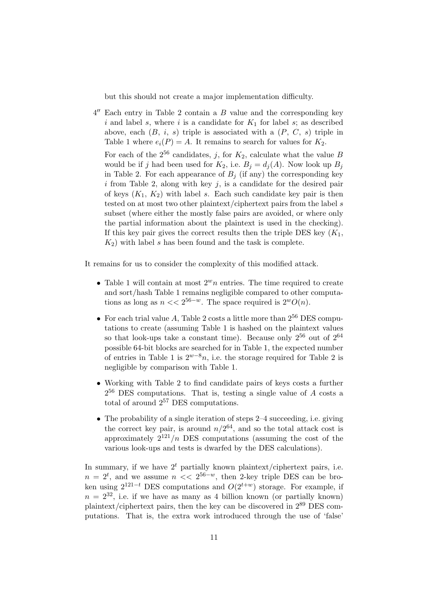but this should not create a major implementation difficulty.

 $4''$  Each entry in Table 2 contain a  $B$  value and the corresponding key i and label s, where i is a candidate for  $K_1$  for label s; as described above, each  $(B, i, s)$  triple is associated with a  $(P, C, s)$  triple in Table 1 where  $e_i(P) = A$ . It remains to search for values for  $K_2$ .

For each of the  $2^{56}$  candidates, j, for  $K_2$ , calculate what the value B would be if j had been used for  $K_2$ , i.e.  $B_j = d_j(A)$ . Now look up  $B_j$ in Table 2. For each appearance of  $B_i$  (if any) the corresponding key  $i$  from Table 2, along with key  $j$ , is a candidate for the desired pair of keys  $(K_1, K_2)$  with label s. Each such candidate key pair is then tested on at most two other plaintext/ciphertext pairs from the label s subset (where either the mostly false pairs are avoided, or where only the partial information about the plaintext is used in the checking). If this key pair gives the correct results then the triple DES key  $(K_1,$  $K_2$ ) with label s has been found and the task is complete.

It remains for us to consider the complexity of this modified attack.

- Table 1 will contain at most  $2^wn$  entries. The time required to create and sort/hash Table 1 remains negligible compared to other computations as long as  $n \ll 2^{56-w}$ . The space required is  $2^wO(n)$ .
- For each trial value A, Table 2 costs a little more than  $2^{56}$  DES computations to create (assuming Table 1 is hashed on the plaintext values so that look-ups take a constant time). Because only  $2^{56}$  out of  $2^{64}$ possible 64-bit blocks are searched for in Table 1, the expected number of entries in Table 1 is  $2^{w-8}n$ , i.e. the storage required for Table 2 is negligible by comparison with Table 1.
- Working with Table 2 to find candidate pairs of keys costs a further  $2^{56}$  DES computations. That is, testing a single value of  $A$  costs a total of around  $2^{57}$  DES computations.
- The probability of a single iteration of steps 2–4 succeeding, i.e. giving the correct key pair, is around  $n/2^{64}$ , and so the total attack cost is approximately  $2^{121}/n$  DES computations (assuming the cost of the various look-ups and tests is dwarfed by the DES calculations).

In summary, if we have  $2<sup>t</sup>$  partially known plaintext/ciphertext pairs, i.e.  $n = 2^t$ , and we assume  $n \ll 2^{56-w}$ , then 2-key triple DES can be broken using  $2^{121-t}$  DES computations and  $O(2^{t+w})$  storage. For example, if  $n = 2^{32}$ , i.e. if we have as many as 4 billion known (or partially known) plaintext/ciphertext pairs, then the key can be discovered in 2<sup>89</sup> DES computations. That is, the extra work introduced through the use of 'false'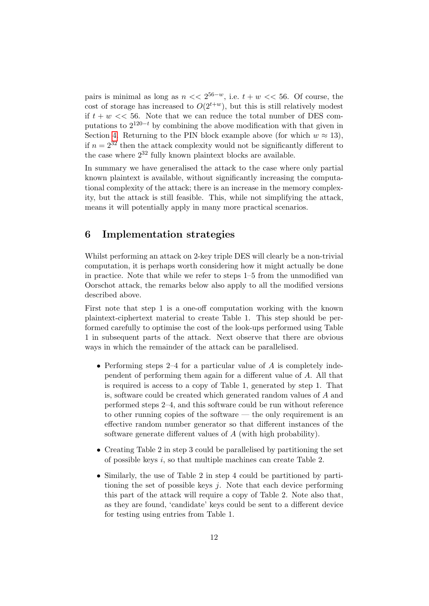pairs is minimal as long as  $n \ll 2^{56-w}$ , i.e.  $t + w \ll 56$ . Of course, the cost of storage has increased to  $O(2^{t+w})$ , but this is still relatively modest if  $t + w \ll 56$ . Note that we can reduce the total number of DES computations to  $2^{120-t}$  by combining the above modification with that given in Section [4.](#page-8-0) Returning to the PIN block example above (for which  $w \approx 13$ ), if  $n = 2^{32}$  then the attack complexity would not be significantly different to the case where  $2^{32}$  fully known plaintext blocks are available.

In summary we have generalised the attack to the case where only partial known plaintext is available, without significantly increasing the computational complexity of the attack; there is an increase in the memory complexity, but the attack is still feasible. This, while not simplifying the attack, means it will potentially apply in many more practical scenarios.

## <span id="page-11-0"></span>6 Implementation strategies

Whilst performing an attack on 2-key triple DES will clearly be a non-trivial computation, it is perhaps worth considering how it might actually be done in practice. Note that while we refer to steps 1–5 from the unmodified van Oorschot attack, the remarks below also apply to all the modified versions described above.

First note that step 1 is a one-off computation working with the known plaintext-ciphertext material to create Table 1. This step should be performed carefully to optimise the cost of the look-ups performed using Table 1 in subsequent parts of the attack. Next observe that there are obvious ways in which the remainder of the attack can be parallelised.

- Performing steps 2–4 for a particular value of  $A$  is completely independent of performing them again for a different value of A. All that is required is access to a copy of Table 1, generated by step 1. That is, software could be created which generated random values of A and performed steps 2–4, and this software could be run without reference to other running copies of the software — the only requirement is an effective random number generator so that different instances of the software generate different values of A (with high probability).
- Creating Table 2 in step 3 could be parallelised by partitioning the set of possible keys i, so that multiple machines can create Table 2.
- Similarly, the use of Table 2 in step 4 could be partitioned by partitioning the set of possible keys  $j$ . Note that each device performing this part of the attack will require a copy of Table 2. Note also that, as they are found, 'candidate' keys could be sent to a different device for testing using entries from Table 1.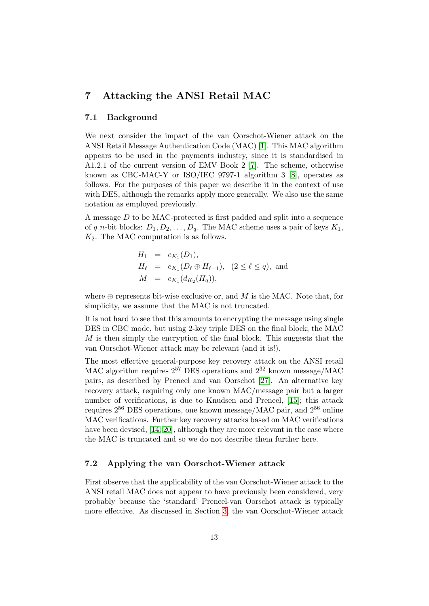## <span id="page-12-0"></span>7 Attacking the ANSI Retail MAC

### 7.1 Background

We next consider the impact of the van Oorschot-Wiener attack on the ANSI Retail Message Authentication Code (MAC) [\[1\]](#page-16-10). This MAC algorithm appears to be used in the payments industry, since it is standardised in A1.2.1 of the current version of EMV Book 2 [\[7\]](#page-16-7). The scheme, otherwise known as CBC-MAC-Y or ISO/IEC 9797-1 algorithm  $3 \text{ [8]}$  $3 \text{ [8]}$  $3 \text{ [8]}$ , operates as follows. For the purposes of this paper we describe it in the context of use with DES, although the remarks apply more generally. We also use the same notation as employed previously.

A message D to be MAC-protected is first padded and split into a sequence of q n-bit blocks:  $D_1, D_2, \ldots, D_q$ . The MAC scheme uses a pair of keys  $K_1$ ,  $K_2$ . The MAC computation is as follows.

$$
H_1 = e_{K_1}(D_1),
$$
  
\n
$$
H_{\ell} = e_{K_1}(D_{\ell} \oplus H_{\ell-1}), (2 \le \ell \le q),
$$
 and  
\n
$$
M = e_{K_1}(d_{K_2}(H_q)),
$$

where  $\oplus$  represents bit-wise exclusive or, and M is the MAC. Note that, for simplicity, we assume that the MAC is not truncated.

It is not hard to see that this amounts to encrypting the message using single DES in CBC mode, but using 2-key triple DES on the final block; the MAC  $M$  is then simply the encryption of the final block. This suggests that the van Oorschot-Wiener attack may be relevant (and it is!).

The most effective general-purpose key recovery attack on the ANSI retail MAC algorithm requires  $2^{57}$  DES operations and  $2^{32}$  known message/MAC pairs, as described by Preneel and van Oorschot [\[27\]](#page-18-2). An alternative key recovery attack, requiring only one known MAC/message pair but a larger number of verifications, is due to Knudsen and Preneel, [\[15\]](#page-17-10); this attack requires 2<sup>56</sup> DES operations, one known message/MAC pair, and 2<sup>56</sup> online MAC verifications. Further key recovery attacks based on MAC verifications have been devised, [\[14,](#page-17-11) [20\]](#page-17-12), although they are more relevant in the case where the MAC is truncated and so we do not describe them further here.

#### 7.2 Applying the van Oorschot-Wiener attack

First observe that the applicability of the van Oorschot-Wiener attack to the ANSI retail MAC does not appear to have previously been considered, very probably because the 'standard' Preneel-van Oorschot attack is typically more effective. As discussed in Section [3,](#page-4-0) the van Oorschot-Wiener attack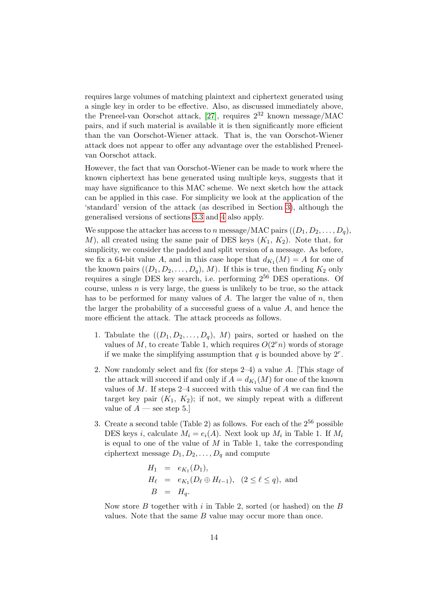requires large volumes of matching plaintext and ciphertext generated using a single key in order to be effective. Also, as discussed immediately above, the Preneel-van Oorschot attack, [\[27\]](#page-18-2), requires  $2^{32}$  known message/MAC pairs, and if such material is available it is then significantly more efficient than the van Oorschot-Wiener attack. That is, the van Oorschot-Wiener attack does not appear to offer any advantage over the established Preneelvan Oorschot attack.

However, the fact that van Oorschot-Wiener can be made to work where the known ciphertext has bene generated using multiple keys, suggests that it may have significance to this MAC scheme. We next sketch how the attack can be applied in this case. For simplicity we look at the application of the 'standard' version of the attack (as described in Section [3\)](#page-4-0), although the generalised versions of sections [3.3](#page-6-1) and [4](#page-8-0) also apply.

We suppose the attacker has access to n message/MAC pairs  $((D_1, D_2, \ldots, D_q),$ M), all created using the same pair of DES keys  $(K_1, K_2)$ . Note that, for simplicity, we consider the padded and split version of a message. As before, we fix a 64-bit value A, and in this case hope that  $d_{K_1}(M) = A$  for one of the known pairs  $((D_1, D_2, \ldots, D_q), M)$ . If this is true, then finding  $K_2$  only requires a single DES key search, i.e. performing 2<sup>56</sup> DES operations. Of course, unless  $n$  is very large, the guess is unlikely to be true, so the attack has to be performed for many values of  $A$ . The larger the value of  $n$ , then the larger the probability of a successful guess of a value  $A$ , and hence the more efficient the attack. The attack proceeds as follows.

- 1. Tabulate the  $((D_1, D_2, \ldots, D_q), M)$  pairs, sorted or hashed on the values of M, to create Table 1, which requires  $O(2<sup>r</sup>n)$  words of storage if we make the simplifying assumption that  $q$  is bounded above by  $2^r$ .
- 2. Now randomly select and fix (for steps 2–4) a value A. [This stage of the attack will succeed if and only if  $A = d_{K_1}(M)$  for one of the known values of  $M$ . If steps 2–4 succeed with this value of  $A$  we can find the target key pair  $(K_1, K_2)$ ; if not, we simply repeat with a different value of  $A$  — see step 5.
- 3. Create a second table (Table 2) as follows. For each of the  $2^{56}$  possible DES keys *i*, calculate  $M_i = e_i(A)$ . Next look up  $M_i$  in Table 1. If  $M_i$ is equal to one of the value of  $M$  in Table 1, take the corresponding ciphertext message  $D_1, D_2, \ldots, D_q$  and compute

$$
H_1 = e_{K_1}(D_1), \n H_{\ell} = e_{K_1}(D_{\ell} \oplus H_{\ell-1}), (2 \le \ell \le q), and \n B = H_q.
$$

Now store  $B$  together with  $i$  in Table 2, sorted (or hashed) on the  $B$ values. Note that the same  $B$  value may occur more than once.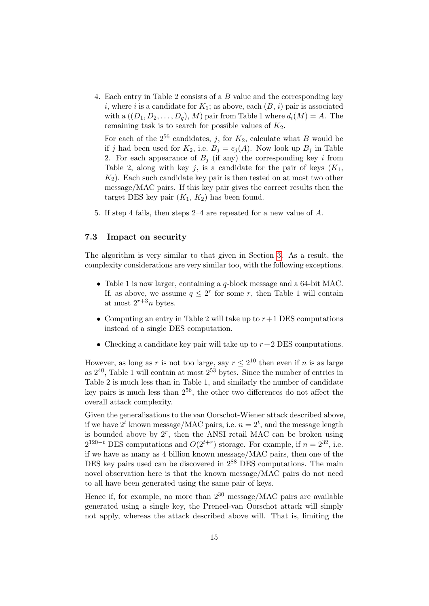4. Each entry in Table 2 consists of a B value and the corresponding key i, where i is a candidate for  $K_1$ ; as above, each  $(B, i)$  pair is associated with a  $((D_1, D_2, \ldots, D_n), M)$  pair from Table 1 where  $d_i(M) = A$ . The remaining task is to search for possible values of  $K_2$ .

For each of the  $2^{56}$  candidates, j, for  $K_2$ , calculate what B would be if j had been used for  $K_2$ , i.e.  $B_j = e_j(A)$ . Now look up  $B_j$  in Table 2. For each appearance of  $B_i$  (if any) the corresponding key i from Table 2, along with key j, is a candidate for the pair of keys  $(K_1,$  $K_2$ ). Each such candidate key pair is then tested on at most two other message/MAC pairs. If this key pair gives the correct results then the target DES key pair  $(K_1, K_2)$  has been found.

5. If step 4 fails, then steps 2–4 are repeated for a new value of A.

#### 7.3 Impact on security

The algorithm is very similar to that given in Section [3.](#page-4-0) As a result, the complexity considerations are very similar too, with the following exceptions.

- Table 1 is now larger, containing a q-block message and a 64-bit MAC. If, as above, we assume  $q \leq 2^r$  for some r, then Table 1 will contain at most  $2^{r+3}n$  bytes.
- Computing an entry in Table 2 will take up to  $r+1$  DES computations instead of a single DES computation.
- Checking a candidate key pair will take up to  $r+2$  DES computations.

However, as long as r is not too large, say  $r \leq 2^{10}$  then even if n is as large as  $2^{40}$ , Table 1 will contain at most  $2^{53}$  bytes. Since the number of entries in Table 2 is much less than in Table 1, and similarly the number of candidate key pairs is much less than  $2^{56}$ , the other two differences do not affect the overall attack complexity.

Given the generalisations to the van Oorschot-Wiener attack described above, if we have  $2^t$  known message/MAC pairs, i.e.  $n = 2^t$ , and the message length is bounded above by  $2^r$ , then the ANSI retail MAC can be broken using  $2^{120-t}$  DES computations and  $O(2^{t+r})$  storage. For example, if  $n = 2^{32}$ , i.e. if we have as many as 4 billion known message/MAC pairs, then one of the DES key pairs used can be discovered in  $2^{88}$  DES computations. The main novel observation here is that the known message/MAC pairs do not need to all have been generated using the same pair of keys.

Hence if, for example, no more than  $2^{30}$  message/MAC pairs are available generated using a single key, the Preneel-van Oorschot attack will simply not apply, whereas the attack described above will. That is, limiting the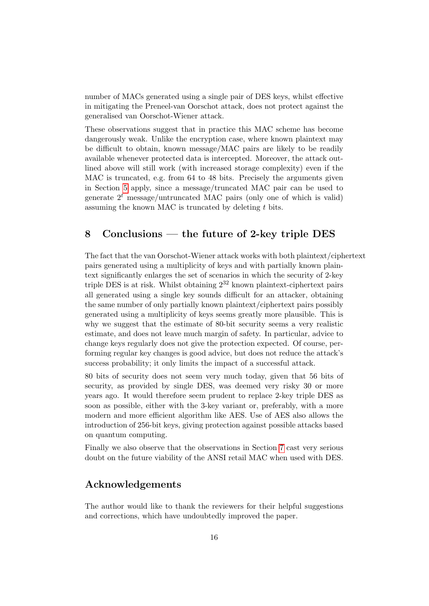number of MACs generated using a single pair of DES keys, whilst effective in mitigating the Preneel-van Oorschot attack, does not protect against the generalised van Oorschot-Wiener attack.

These observations suggest that in practice this MAC scheme has become dangerously weak. Unlike the encryption case, where known plaintext may be difficult to obtain, known message/MAC pairs are likely to be readily available whenever protected data is intercepted. Moreover, the attack outlined above will still work (with increased storage complexity) even if the MAC is truncated, e.g. from 64 to 48 bits. Precisely the arguments given in Section [5](#page-8-1) apply, since a message/truncated MAC pair can be used to generate  $2<sup>t</sup>$  message/untruncated MAC pairs (only one of which is valid) assuming the known MAC is truncated by deleting  $t$  bits.

## <span id="page-15-0"></span>8 Conclusions — the future of 2-key triple DES

The fact that the van Oorschot-Wiener attack works with both plaintext/ciphertext pairs generated using a multiplicity of keys and with partially known plaintext significantly enlarges the set of scenarios in which the security of 2-key triple DES is at risk. Whilst obtaining  $2^{32}$  known plaintext-ciphertext pairs all generated using a single key sounds difficult for an attacker, obtaining the same number of only partially known plaintext/ciphertext pairs possibly generated using a multiplicity of keys seems greatly more plausible. This is why we suggest that the estimate of 80-bit security seems a very realistic estimate, and does not leave much margin of safety. In particular, advice to change keys regularly does not give the protection expected. Of course, performing regular key changes is good advice, but does not reduce the attack's success probability; it only limits the impact of a successful attack.

80 bits of security does not seem very much today, given that 56 bits of security, as provided by single DES, was deemed very risky 30 or more years ago. It would therefore seem prudent to replace 2-key triple DES as soon as possible, either with the 3-key variant or, preferably, with a more modern and more efficient algorithm like AES. Use of AES also allows the introduction of 256-bit keys, giving protection against possible attacks based on quantum computing.

Finally we also observe that the observations in Section [7](#page-12-0) cast very serious doubt on the future viability of the ANSI retail MAC when used with DES.

## Acknowledgements

The author would like to thank the reviewers for their helpful suggestions and corrections, which have undoubtedly improved the paper.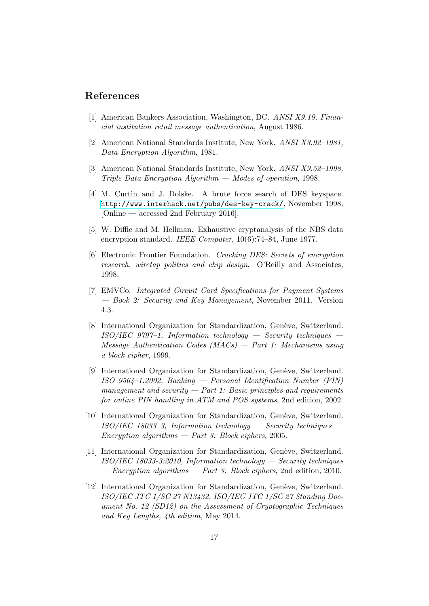### References

- <span id="page-16-10"></span>[1] American Bankers Association, Washington, DC. ANSI X9.19, Financial institution retail message authentication, August 1986.
- <span id="page-16-1"></span>[2] American National Standards Institute, New York. ANSI X3.92–1981, Data Encryption Algorithm, 1981.
- <span id="page-16-2"></span>[3] American National Standards Institute, New York. ANSI X9.52–1998, Triple Data Encryption Algorithm — Modes of operation, 1998.
- <span id="page-16-6"></span>[4] M. Curtin and J. Dolske. A brute force search of DES keyspace. <http://www.interhack.net/pubs/des-key-crack/>, November 1998. [Online — accessed 2nd February 2016].
- <span id="page-16-0"></span>[5] W. Diffie and M. Hellman. Exhaustive cryptanalysis of the NBS data encryption standard. IEEE Computer,  $10(6)$ :74–84, June 1977.
- <span id="page-16-5"></span>[6] Electronic Frontier Foundation. Cracking DES: Secrets of encryption research, wiretap politics and chip design. O'Reilly and Associates, 1998.
- <span id="page-16-7"></span>[7] EMVCo. Integrated Circuit Card Specifications for Payment Systems — Book 2: Security and Key Management, November 2011. Version 4.3.
- <span id="page-16-11"></span>[8] International Organization for Standardization, Genève, Switzerland.  $ISO/IEC$  9797-1, Information technology — Security techniques  $Message$  Authentication Codes  $(MACs)$  – Part 1: Mechanisms using a block cipher, 1999.
- <span id="page-16-9"></span>[9] International Organization for Standardization, Genève, Switzerland. ISO 9564–1:2002, Banking — Personal Identification Number (PIN) management and security  $-$  Part 1: Basic principles and requirements for online PIN handling in ATM and POS systems, 2nd edition, 2002.
- <span id="page-16-3"></span>[10] International Organization for Standardization, Genève, Switzerland.  $ISO/IEC$  18033-3, Information technology — Security techniques –  $Encryption$  algorithms  $-$  Part 3: Block ciphers, 2005.
- <span id="page-16-4"></span>[11] International Organization for Standardization, Genève, Switzerland.  $ISO/IEC$  18033-3:2010, Information technology — Security techniques — Encryption algorithms — Part 3: Block ciphers, 2nd edition, 2010.
- <span id="page-16-8"></span>[12] International Organization for Standardization, Genève, Switzerland. ISO/IEC JTC 1/SC 27 N13432, ISO/IEC JTC 1/SC 27 Standing Document No. 12 (SD12) on the Assessment of Cryptographic Techniques and Key Lengths, 4th edition, May 2014.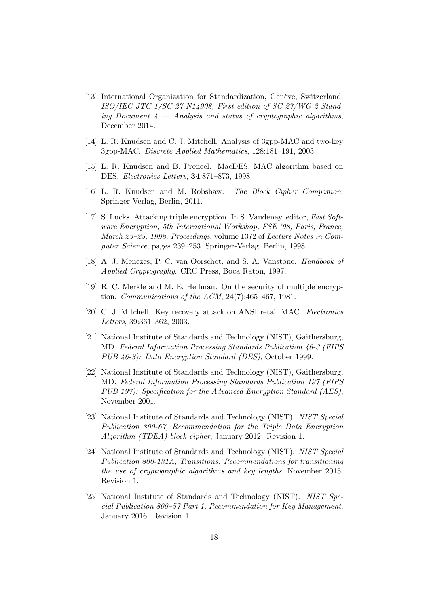- <span id="page-17-7"></span>[13] International Organization for Standardization, Genève, Switzerland. ISO/IEC JTC 1/SC 27 N14908, First edition of SC 27/WG 2 Standing Document  $4$  — Analysis and status of cryptographic algorithms, December 2014.
- <span id="page-17-11"></span>[14] L. R. Knudsen and C. J. Mitchell. Analysis of 3gpp-MAC and two-key 3gpp-MAC. Discrete Applied Mathematics, 128:181–191, 2003.
- <span id="page-17-10"></span>[15] L. R. Knudsen and B. Preneel. MacDES: MAC algorithm based on DES. Electronics Letters, 34:871–873, 1998.
- <span id="page-17-8"></span>[16] L. R. Knudsen and M. Robshaw. The Block Cipher Companion. Springer-Verlag, Berlin, 2011.
- <span id="page-17-9"></span>[17] S. Lucks. Attacking triple encryption. In S. Vaudenay, editor, Fast Software Encryption, 5th International Workshop, FSE '98, Paris, France, March 23–25, 1998, Proceedings, volume 1372 of Lecture Notes in Computer Science, pages 239–253. Springer-Verlag, Berlin, 1998.
- <span id="page-17-0"></span>[18] A. J. Menezes, P. C. van Oorschot, and S. A. Vanstone. Handbook of Applied Cryptography. CRC Press, Boca Raton, 1997.
- <span id="page-17-3"></span>[19] R. C. Merkle and M. E. Hellman. On the security of multiple encryption. Communications of the ACM, 24(7):465–467, 1981.
- <span id="page-17-12"></span>[20] C. J. Mitchell. Key recovery attack on ANSI retail MAC. Electronics Letters, 39:361–362, 2003.
- <span id="page-17-1"></span>[21] National Institute of Standards and Technology (NIST), Gaithersburg, MD. Federal Information Processing Standards Publication 46-3 (FIPS PUB 46-3): Data Encryption Standard (DES), October 1999.
- <span id="page-17-4"></span>[22] National Institute of Standards and Technology (NIST), Gaithersburg, MD. Federal Information Processing Standards Publication 197 (FIPS PUB 197): Specification for the Advanced Encryption Standard (AES), November 2001.
- <span id="page-17-2"></span>[23] National Institute of Standards and Technology (NIST). NIST Special Publication 800-67, Recommendation for the Triple Data Encryption Algorithm (TDEA) block cipher, January 2012. Revision 1.
- <span id="page-17-5"></span>[24] National Institute of Standards and Technology (NIST). NIST Special Publication 800-131A, Transitions: Recommendations for transitioning the use of cryptographic algorithms and key lengths, November 2015. Revision 1.
- <span id="page-17-6"></span>[25] National Institute of Standards and Technology (NIST). NIST Special Publication 800–57 Part 1, Recommendation for Key Management, January 2016. Revision 4.